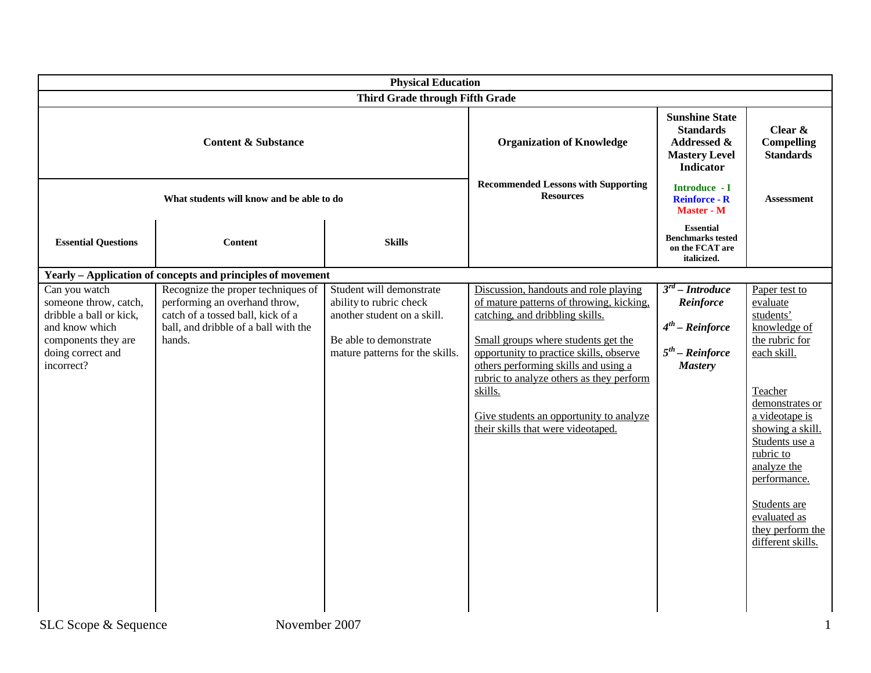| <b>Physical Education</b>                                                                                                                     |                                                                                                                                                            |                                                                                                                                                 |                                                                                                                                                                                                                                                                                                                                                                                        |                                                                                                      |                                                                                                                                                                                                                                                                                                    |
|-----------------------------------------------------------------------------------------------------------------------------------------------|------------------------------------------------------------------------------------------------------------------------------------------------------------|-------------------------------------------------------------------------------------------------------------------------------------------------|----------------------------------------------------------------------------------------------------------------------------------------------------------------------------------------------------------------------------------------------------------------------------------------------------------------------------------------------------------------------------------------|------------------------------------------------------------------------------------------------------|----------------------------------------------------------------------------------------------------------------------------------------------------------------------------------------------------------------------------------------------------------------------------------------------------|
| Third Grade through Fifth Grade                                                                                                               |                                                                                                                                                            |                                                                                                                                                 |                                                                                                                                                                                                                                                                                                                                                                                        |                                                                                                      |                                                                                                                                                                                                                                                                                                    |
| <b>Content &amp; Substance</b>                                                                                                                |                                                                                                                                                            |                                                                                                                                                 | <b>Organization of Knowledge</b>                                                                                                                                                                                                                                                                                                                                                       | <b>Sunshine State</b><br><b>Standards</b><br>Addressed &<br><b>Mastery Level</b><br><b>Indicator</b> | Clear &<br><b>Compelling</b><br><b>Standards</b>                                                                                                                                                                                                                                                   |
| What students will know and be able to do                                                                                                     |                                                                                                                                                            |                                                                                                                                                 | <b>Recommended Lessons with Supporting</b><br><b>Resources</b>                                                                                                                                                                                                                                                                                                                         | Introduce - I<br><b>Reinforce - R</b><br><b>Master - M</b>                                           | <b>Assessment</b>                                                                                                                                                                                                                                                                                  |
| <b>Essential Questions</b>                                                                                                                    | <b>Content</b>                                                                                                                                             | <b>Skills</b>                                                                                                                                   |                                                                                                                                                                                                                                                                                                                                                                                        | <b>Essential</b><br><b>Benchmarks tested</b><br>on the FCAT are<br>italicized.                       |                                                                                                                                                                                                                                                                                                    |
|                                                                                                                                               | Yearly - Application of concepts and principles of movement                                                                                                |                                                                                                                                                 |                                                                                                                                                                                                                                                                                                                                                                                        |                                                                                                      |                                                                                                                                                                                                                                                                                                    |
| Can you watch<br>someone throw, catch,<br>dribble a ball or kick,<br>and know which<br>components they are<br>doing correct and<br>incorrect? | Recognize the proper techniques of<br>performing an overhand throw,<br>catch of a tossed ball, kick of a<br>ball, and dribble of a ball with the<br>hands. | Student will demonstrate<br>ability to rubric check<br>another student on a skill.<br>Be able to demonstrate<br>mature patterns for the skills. | Discussion, handouts and role playing<br>of mature patterns of throwing, kicking,<br>catching, and dribbling skills.<br>Small groups where students get the<br>opportunity to practice skills, observe<br>others performing skills and using a<br>rubric to analyze others as they perform<br>skills.<br>Give students an opportunity to analyze<br>their skills that were videotaped. | $3^{rd}$ – Introduce<br>Reinforce<br>$4^{th}$ – Reinforce<br>$5th$ – Reinforce<br><b>Mastery</b>     | Paper test to<br>evaluate<br>students'<br>knowledge of<br>the rubric for<br>each skill.<br>Teacher<br>demonstrates or<br>a videotape is<br>showing a skill.<br>Students use a<br>rubric to<br>analyze the<br>performance.<br>Students are<br>evaluated as<br>they perform the<br>different skills. |
| November 2007<br>SLC Scope & Sequence                                                                                                         |                                                                                                                                                            |                                                                                                                                                 |                                                                                                                                                                                                                                                                                                                                                                                        |                                                                                                      |                                                                                                                                                                                                                                                                                                    |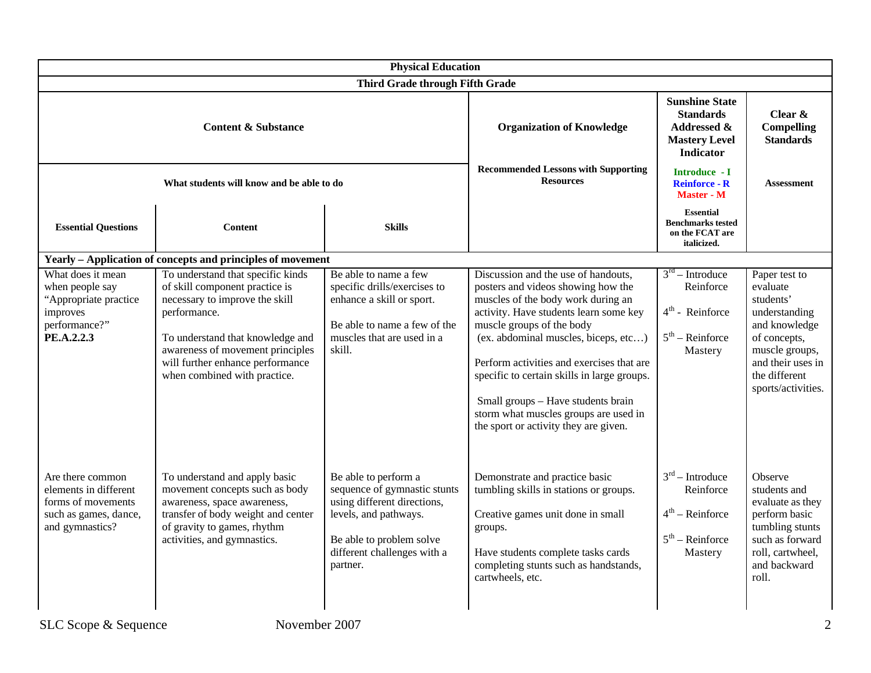| <b>Physical Education</b>                                                                                   |                                                                                                                                                                                                                                                                   |                                                                                                                                                                                     |                                                                                                                                                                                                                                                                                                                                                                                                                                                    |                                                                                                                 |                                                                                                                                                                        |
|-------------------------------------------------------------------------------------------------------------|-------------------------------------------------------------------------------------------------------------------------------------------------------------------------------------------------------------------------------------------------------------------|-------------------------------------------------------------------------------------------------------------------------------------------------------------------------------------|----------------------------------------------------------------------------------------------------------------------------------------------------------------------------------------------------------------------------------------------------------------------------------------------------------------------------------------------------------------------------------------------------------------------------------------------------|-----------------------------------------------------------------------------------------------------------------|------------------------------------------------------------------------------------------------------------------------------------------------------------------------|
| Third Grade through Fifth Grade                                                                             |                                                                                                                                                                                                                                                                   |                                                                                                                                                                                     |                                                                                                                                                                                                                                                                                                                                                                                                                                                    |                                                                                                                 |                                                                                                                                                                        |
| <b>Content &amp; Substance</b>                                                                              |                                                                                                                                                                                                                                                                   |                                                                                                                                                                                     | <b>Organization of Knowledge</b>                                                                                                                                                                                                                                                                                                                                                                                                                   | <b>Sunshine State</b><br><b>Standards</b><br><b>Addressed &amp;</b><br><b>Mastery Level</b><br><b>Indicator</b> | Clear $\&$<br><b>Compelling</b><br><b>Standards</b>                                                                                                                    |
| What students will know and be able to do                                                                   |                                                                                                                                                                                                                                                                   | <b>Recommended Lessons with Supporting</b><br><b>Resources</b>                                                                                                                      | Introduce - I<br><b>Reinforce - R</b><br><b>Master - M</b>                                                                                                                                                                                                                                                                                                                                                                                         | <b>Assessment</b>                                                                                               |                                                                                                                                                                        |
| <b>Essential Questions</b>                                                                                  | Content                                                                                                                                                                                                                                                           | <b>Skills</b>                                                                                                                                                                       |                                                                                                                                                                                                                                                                                                                                                                                                                                                    | <b>Essential</b><br><b>Benchmarks tested</b><br>on the FCAT are<br>italicized.                                  |                                                                                                                                                                        |
|                                                                                                             | Yearly - Application of concepts and principles of movement                                                                                                                                                                                                       |                                                                                                                                                                                     |                                                                                                                                                                                                                                                                                                                                                                                                                                                    |                                                                                                                 |                                                                                                                                                                        |
| What does it mean<br>when people say<br>"Appropriate practice<br>improves<br>performance?"<br>PE.A.2.2.3    | To understand that specific kinds<br>of skill component practice is<br>necessary to improve the skill<br>performance.<br>To understand that knowledge and<br>awareness of movement principles<br>will further enhance performance<br>when combined with practice. | Be able to name a few<br>specific drills/exercises to<br>enhance a skill or sport.<br>Be able to name a few of the<br>muscles that are used in a<br>skill.                          | Discussion and the use of handouts,<br>posters and videos showing how the<br>muscles of the body work during an<br>activity. Have students learn some key<br>muscle groups of the body<br>(ex. abdominal muscles, biceps, etc)<br>Perform activities and exercises that are<br>specific to certain skills in large groups.<br>Small groups - Have students brain<br>storm what muscles groups are used in<br>the sport or activity they are given. | $3rd - Introduce$<br>Reinforce<br>$4th$ - Reinforce<br>$5th$ – Reinforce<br>Mastery                             | Paper test to<br>evaluate<br>students'<br>understanding<br>and knowledge<br>of concepts,<br>muscle groups,<br>and their uses in<br>the different<br>sports/activities. |
| Are there common<br>elements in different<br>forms of movements<br>such as games, dance,<br>and gymnastics? | To understand and apply basic<br>movement concepts such as body<br>awareness, space awareness,<br>transfer of body weight and center<br>of gravity to games, rhythm<br>activities, and gymnastics.                                                                | Be able to perform a<br>sequence of gymnastic stunts<br>using different directions,<br>levels, and pathways.<br>Be able to problem solve<br>different challenges with a<br>partner. | Demonstrate and practice basic<br>tumbling skills in stations or groups.<br>Creative games unit done in small<br>groups.<br>Have students complete tasks cards<br>completing stunts such as handstands,<br>cartwheels, etc.                                                                                                                                                                                                                        | $3rd$ – Introduce<br>Reinforce<br>$4th$ – Reinforce<br>$5th$ – Reinforce<br>Mastery                             | Observe<br>students and<br>evaluate as they<br>perform basic<br>tumbling stunts<br>such as forward<br>roll, cartwheel,<br>and backward<br>roll.                        |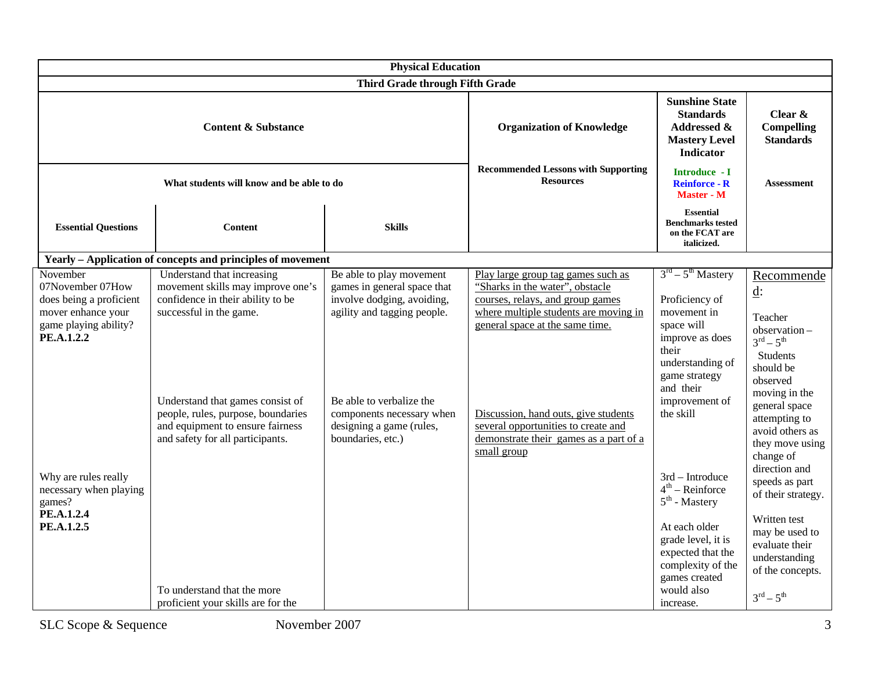|                                                                                                                      |                                                                                                                                                                                                                                                                                   | <b>Physical Education</b>                                                                                                                                                                                                      |                                                                                                                                                                                                                                                                                                                               |                                                                                                                                                                                      |                                                                                                                                                                                                                                     |
|----------------------------------------------------------------------------------------------------------------------|-----------------------------------------------------------------------------------------------------------------------------------------------------------------------------------------------------------------------------------------------------------------------------------|--------------------------------------------------------------------------------------------------------------------------------------------------------------------------------------------------------------------------------|-------------------------------------------------------------------------------------------------------------------------------------------------------------------------------------------------------------------------------------------------------------------------------------------------------------------------------|--------------------------------------------------------------------------------------------------------------------------------------------------------------------------------------|-------------------------------------------------------------------------------------------------------------------------------------------------------------------------------------------------------------------------------------|
|                                                                                                                      |                                                                                                                                                                                                                                                                                   | Third Grade through Fifth Grade                                                                                                                                                                                                |                                                                                                                                                                                                                                                                                                                               |                                                                                                                                                                                      |                                                                                                                                                                                                                                     |
| <b>Content &amp; Substance</b>                                                                                       |                                                                                                                                                                                                                                                                                   |                                                                                                                                                                                                                                | <b>Organization of Knowledge</b>                                                                                                                                                                                                                                                                                              | <b>Sunshine State</b><br><b>Standards</b><br><b>Addressed &amp;</b><br><b>Mastery Level</b><br><b>Indicator</b>                                                                      | Clear $\&$<br><b>Compelling</b><br><b>Standards</b>                                                                                                                                                                                 |
| What students will know and be able to do                                                                            |                                                                                                                                                                                                                                                                                   |                                                                                                                                                                                                                                | <b>Recommended Lessons with Supporting</b><br><b>Resources</b>                                                                                                                                                                                                                                                                | Introduce - I<br><b>Reinforce - R</b><br>Master - M                                                                                                                                  | Assessment                                                                                                                                                                                                                          |
| <b>Essential Questions</b>                                                                                           | <b>Content</b>                                                                                                                                                                                                                                                                    | <b>Skills</b>                                                                                                                                                                                                                  |                                                                                                                                                                                                                                                                                                                               | <b>Essential</b><br><b>Benchmarks tested</b><br>on the FCAT are<br>italicized.                                                                                                       |                                                                                                                                                                                                                                     |
|                                                                                                                      | Yearly - Application of concepts and principles of movement                                                                                                                                                                                                                       |                                                                                                                                                                                                                                |                                                                                                                                                                                                                                                                                                                               |                                                                                                                                                                                      |                                                                                                                                                                                                                                     |
| November<br>07November 07How<br>does being a proficient<br>mover enhance your<br>game playing ability?<br>PE.A.1.2.2 | Understand that increasing<br>movement skills may improve one's<br>confidence in their ability to be<br>successful in the game.<br>Understand that games consist of<br>people, rules, purpose, boundaries<br>and equipment to ensure fairness<br>and safety for all participants. | Be able to play movement<br>games in general space that<br>involve dodging, avoiding,<br>agility and tagging people.<br>Be able to verbalize the<br>components necessary when<br>designing a game (rules,<br>boundaries, etc.) | Play large group tag games such as<br>"Sharks in the water", obstacle<br>courses, relays, and group games<br>where multiple students are moving in<br>general space at the same time.<br>Discussion, hand outs, give students<br>several opportunities to create and<br>demonstrate their games as a part of a<br>small group | $3rd - 5th Mastery$<br>Proficiency of<br>movement in<br>space will<br>improve as does<br>their<br>understanding of<br>game strategy<br>and their<br>improvement of<br>the skill      | Recommende<br>$\underline{\mathbf{d}}$ :<br>Teacher<br>observation-<br>$3^{rd} - 5^{th}$<br>Students<br>should be<br>observed<br>moving in the<br>general space<br>attempting to<br>avoid others as<br>they move using<br>change of |
| Why are rules really<br>necessary when playing<br>games?<br>PE.A.1.2.4<br>PE.A.1.2.5                                 | To understand that the more<br>proficient your skills are for the                                                                                                                                                                                                                 |                                                                                                                                                                                                                                |                                                                                                                                                                                                                                                                                                                               | 3rd - Introduce<br>$4th$ – Reinforce<br>$5th$ - Mastery<br>At each older<br>grade level, it is<br>expected that the<br>complexity of the<br>games created<br>would also<br>increase. | direction and<br>speeds as part<br>of their strategy.<br>Written test<br>may be used to<br>evaluate their<br>understanding<br>of the concepts.<br>$3^{rd} - 5^{th}$                                                                 |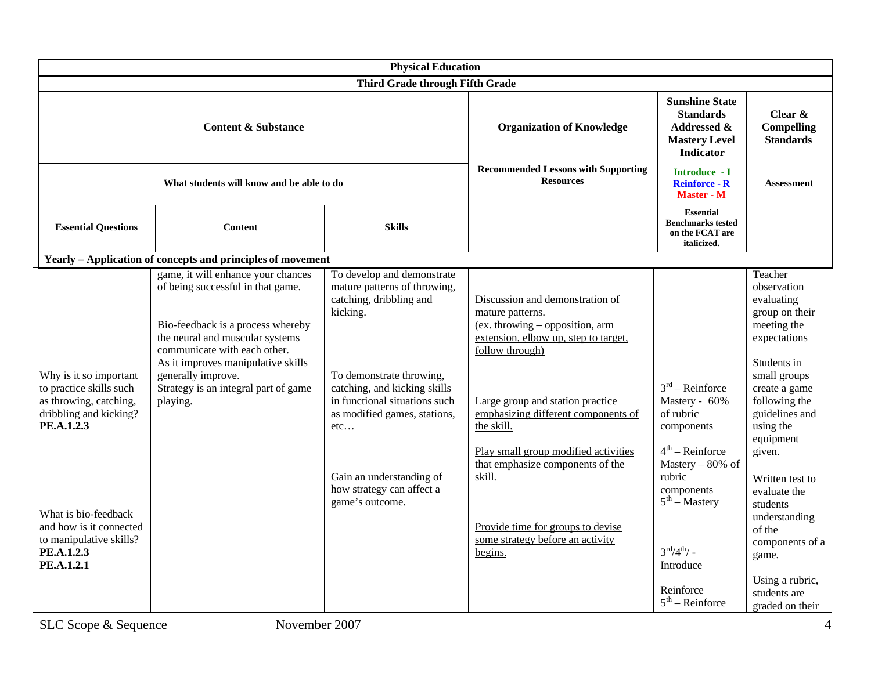| <b>Content &amp; Substance</b><br>What students will know and be able to do<br><b>Essential Questions</b><br><b>Content</b><br><b>Skills</b>                                                                                                                                                                                                                                                                                                                                                                                                                                                                                                                                                                                                                                                                                                                                                                                    | <b>Physical Education</b>                                                                                                                                                                                                                                                                                                                    |                                                                                                                                                                                                                   |                                                                                                                                                                                                                                                                                                                    |  |  |  |
|---------------------------------------------------------------------------------------------------------------------------------------------------------------------------------------------------------------------------------------------------------------------------------------------------------------------------------------------------------------------------------------------------------------------------------------------------------------------------------------------------------------------------------------------------------------------------------------------------------------------------------------------------------------------------------------------------------------------------------------------------------------------------------------------------------------------------------------------------------------------------------------------------------------------------------|----------------------------------------------------------------------------------------------------------------------------------------------------------------------------------------------------------------------------------------------------------------------------------------------------------------------------------------------|-------------------------------------------------------------------------------------------------------------------------------------------------------------------------------------------------------------------|--------------------------------------------------------------------------------------------------------------------------------------------------------------------------------------------------------------------------------------------------------------------------------------------------------------------|--|--|--|
|                                                                                                                                                                                                                                                                                                                                                                                                                                                                                                                                                                                                                                                                                                                                                                                                                                                                                                                                 | Third Grade through Fifth Grade                                                                                                                                                                                                                                                                                                              |                                                                                                                                                                                                                   |                                                                                                                                                                                                                                                                                                                    |  |  |  |
|                                                                                                                                                                                                                                                                                                                                                                                                                                                                                                                                                                                                                                                                                                                                                                                                                                                                                                                                 | <b>Organization of Knowledge</b>                                                                                                                                                                                                                                                                                                             | <b>Sunshine State</b><br><b>Standards</b><br><b>Addressed &amp;</b><br><b>Mastery Level</b><br><b>Indicator</b>                                                                                                   | Clear &<br><b>Compelling</b><br><b>Standards</b>                                                                                                                                                                                                                                                                   |  |  |  |
|                                                                                                                                                                                                                                                                                                                                                                                                                                                                                                                                                                                                                                                                                                                                                                                                                                                                                                                                 | <b>Recommended Lessons with Supporting</b><br><b>Resources</b>                                                                                                                                                                                                                                                                               | Introduce - I<br><b>Reinforce - R</b><br><b>Master - M</b>                                                                                                                                                        | Assessment                                                                                                                                                                                                                                                                                                         |  |  |  |
|                                                                                                                                                                                                                                                                                                                                                                                                                                                                                                                                                                                                                                                                                                                                                                                                                                                                                                                                 |                                                                                                                                                                                                                                                                                                                                              | <b>Essential</b><br><b>Benchmarks tested</b><br>on the FCAT are<br>italicized.                                                                                                                                    |                                                                                                                                                                                                                                                                                                                    |  |  |  |
| Yearly - Application of concepts and principles of movement                                                                                                                                                                                                                                                                                                                                                                                                                                                                                                                                                                                                                                                                                                                                                                                                                                                                     |                                                                                                                                                                                                                                                                                                                                              |                                                                                                                                                                                                                   |                                                                                                                                                                                                                                                                                                                    |  |  |  |
| game, it will enhance your chances<br>To develop and demonstrate<br>of being successful in that game.<br>mature patterns of throwing,<br>catching, dribbling and<br>kicking.<br>mature patterns.<br>Bio-feedback is a process whereby<br>the neural and muscular systems<br>communicate with each other.<br>follow through)<br>As it improves manipulative skills<br>generally improve.<br>Why is it so important<br>To demonstrate throwing,<br>to practice skills such<br>Strategy is an integral part of game<br>catching, and kicking skills<br>in functional situations such<br>as throwing, catching,<br>playing.<br>dribbling and kicking?<br>as modified games, stations,<br>PE.A.1.2.3<br>the skill.<br>etc<br>skill.<br>Gain an understanding of<br>how strategy can affect a<br>game's outcome.<br>What is bio-feedback<br>and how is it connected<br>to manipulative skills?<br>PE.A.1.2.3<br>begins.<br>PE.A.1.2.1 | Discussion and demonstration of<br>$(ex.$ throwing – opposition, arm<br>extension, elbow up, step to target,<br>Large group and station practice<br>emphasizing different components of<br>Play small group modified activities<br>that emphasize components of the<br>Provide time for groups to devise<br>some strategy before an activity | $3rd$ – Reinforce<br>Mastery - 60%<br>of rubric<br>components<br>$4^{th}$ – Reinforce<br>Mastery $-80\%$ of<br>rubric<br>components<br>$5^{\text{th}}$ – Mastery<br>$3^{\text{rd}}/4^{\text{th}}/ -$<br>Introduce | Teacher<br>observation<br>evaluating<br>group on their<br>meeting the<br>expectations<br>Students in<br>small groups<br>create a game<br>following the<br>guidelines and<br>using the<br>equipment<br>given.<br>Written test to<br>evaluate the<br>students<br>understanding<br>of the<br>components of a<br>game. |  |  |  |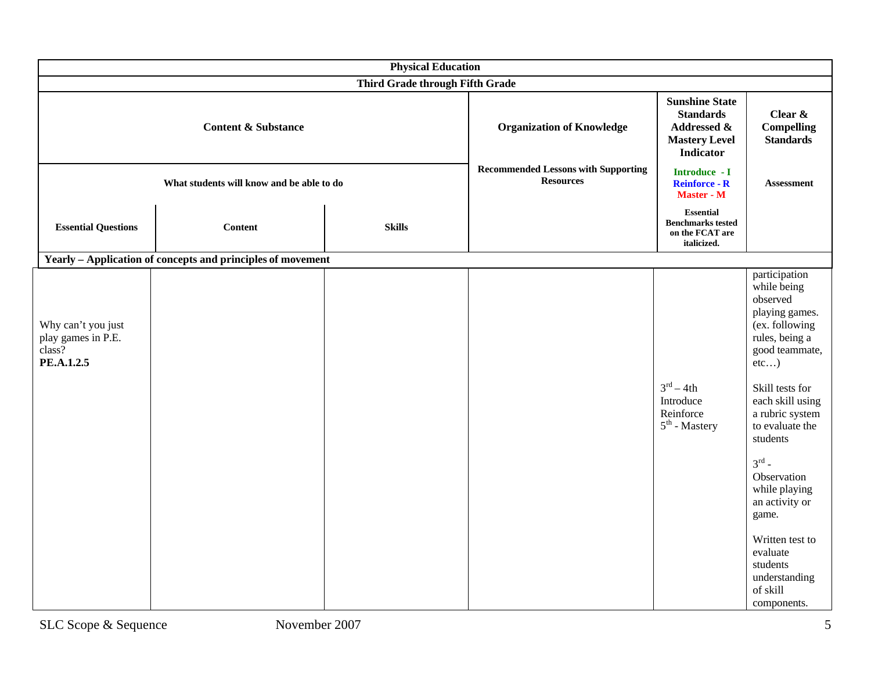| <b>Physical Education</b>                                        |                                                             |                                                                |                                                     |                                                                                                      |                                                                                                                                                                                                                                                                                                                                                                                          |  |
|------------------------------------------------------------------|-------------------------------------------------------------|----------------------------------------------------------------|-----------------------------------------------------|------------------------------------------------------------------------------------------------------|------------------------------------------------------------------------------------------------------------------------------------------------------------------------------------------------------------------------------------------------------------------------------------------------------------------------------------------------------------------------------------------|--|
| Third Grade through Fifth Grade                                  |                                                             |                                                                |                                                     |                                                                                                      |                                                                                                                                                                                                                                                                                                                                                                                          |  |
| <b>Content &amp; Substance</b>                                   |                                                             |                                                                | <b>Organization of Knowledge</b>                    | <b>Sunshine State</b><br><b>Standards</b><br>Addressed &<br><b>Mastery Level</b><br><b>Indicator</b> | Clear &<br><b>Compelling</b><br><b>Standards</b>                                                                                                                                                                                                                                                                                                                                         |  |
| What students will know and be able to do                        |                                                             | <b>Recommended Lessons with Supporting</b><br><b>Resources</b> | Introduce - I<br><b>Reinforce - R</b><br>Master - M | <b>Assessment</b>                                                                                    |                                                                                                                                                                                                                                                                                                                                                                                          |  |
| <b>Essential Questions</b>                                       | <b>Content</b>                                              | <b>Skills</b>                                                  |                                                     | <b>Essential</b><br><b>Benchmarks tested</b><br>on the FCAT are<br>italicized.                       |                                                                                                                                                                                                                                                                                                                                                                                          |  |
|                                                                  | Yearly - Application of concepts and principles of movement |                                                                |                                                     |                                                                                                      |                                                                                                                                                                                                                                                                                                                                                                                          |  |
| Why can't you just<br>play games in P.E.<br>class?<br>PE.A.1.2.5 |                                                             |                                                                |                                                     | $3^{\text{rd}} - 4\text{th}$<br>Introduce<br>Reinforce<br>$5th$ - Mastery                            | participation<br>while being<br>observed<br>playing games.<br>(ex. following<br>rules, being a<br>good teammate,<br>etc)<br>Skill tests for<br>each skill using<br>a rubric system<br>to evaluate the<br>students<br>$3^{\text{rd}}$ -<br>Observation<br>while playing<br>an activity or<br>game.<br>Written test to<br>evaluate<br>students<br>understanding<br>of skill<br>components. |  |